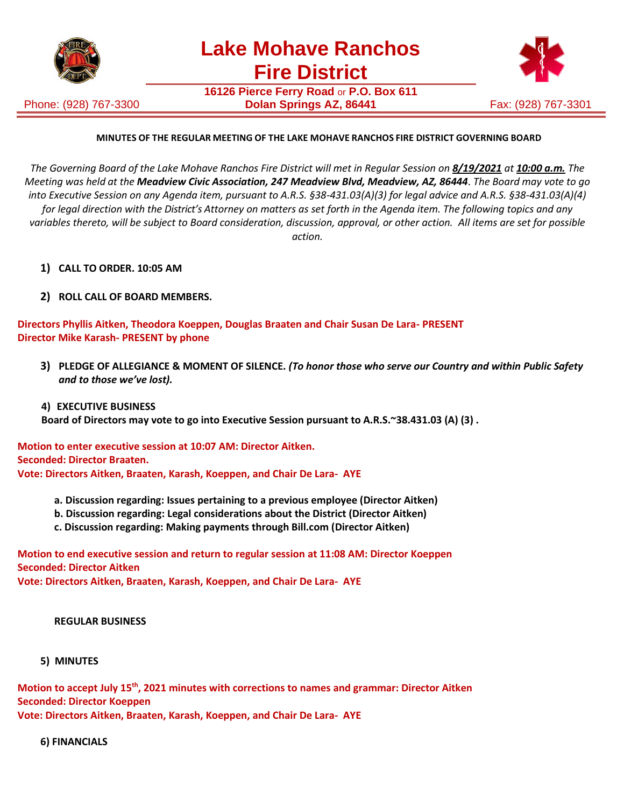

Phone: (928) 767-3300

**16126 Pierce Ferry Road** or **P.O. Box 611 Dolan Springs AZ, 86441** Fax: (928) 767-3301



### **MINUTES OF THE REGULAR MEETING OF THE LAKE MOHAVE RANCHOS FIRE DISTRICT GOVERNING BOARD**

The Governing Board of the Lake Mohave Ranchos Fire District will met in Regular Session on 8/19/2021 at 10:00 a.m. The *Meeting was held at the Meadview Civic Association, 247 Meadview Blvd, Meadview, AZ, 86444*. *The Board may vote to go into Executive Session on any Agenda item, pursuant to A.R.S. §38-431.03(A)(3) for legal advice and A.R.S. §38-431.03(A)(4)* for legal direction with the District's Attorney on matters as set forth in the Agenda item. The following topics and any *variables thereto, will be subject to Board consideration, discussion, approval, or other action. All items are set for possible action.*

- **1) CALL TO ORDER. 10:05 AM**
- **2) ROLL CALL OF BOARD MEMBERS.**

**Directors Phyllis Aitken, Theodora Koeppen, Douglas Braaten and Chair Susan De Lara- PRESENT Director Mike Karash- PRESENT by phone**

**3) PLEDGE OF ALLEGIANCE & MOMENT OF SILENCE.** *(To honor those who serve our Country and within Public Safety and to those we've lost).*

#### **4) EXECUTIVE BUSINESS**

**Board of Directors may vote to go into Executive Session pursuant to A.R.S.~38.431.03 (A) (3) .**

**Motion to enter executive session at 10:07 AM: Director Aitken. Seconded: Director Braaten. Vote: Directors Aitken, Braaten, Karash, Koeppen, and Chair De Lara- AYE**

- **a. Discussion regarding: Issues pertaining to a previous employee (Director Aitken)**
- **b. Discussion regarding: Legal considerations about the District (Director Aitken)**
- **c. Discussion regarding: Making payments through Bill.com (Director Aitken)**

**Motion to end executive session and return to regular session at 11:08 AM: Director Koeppen Seconded: Director Aitken**

**Vote: Directors Aitken, Braaten, Karash, Koeppen, and Chair De Lara- AYE**

#### **REGULAR BUSINESS**

 **5) MINUTES**

**Motion to accept July 15th, 2021 minutes with corrections to names and grammar: Director Aitken Seconded: Director Koeppen Vote: Directors Aitken, Braaten, Karash, Koeppen, and Chair De Lara- AYE**

 **6) FINANCIALS**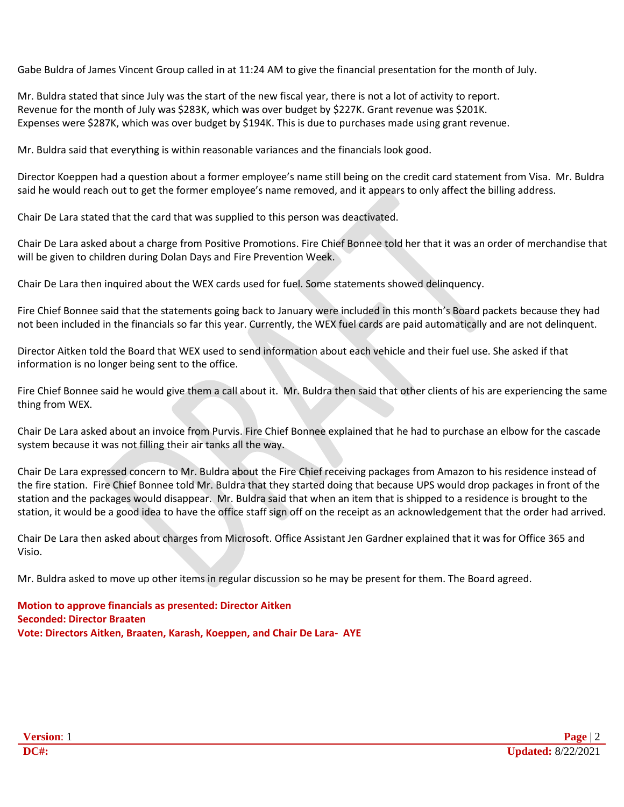Gabe Buldra of James Vincent Group called in at 11:24 AM to give the financial presentation for the month of July.

Mr. Buldra stated that since July was the start of the new fiscal year, there is not a lot of activity to report. Revenue for the month of July was \$283K, which was over budget by \$227K. Grant revenue was \$201K. Expenses were \$287K, which was over budget by \$194K. This is due to purchases made using grant revenue.

Mr. Buldra said that everything is within reasonable variances and the financials look good.

Director Koeppen had a question about a former employee's name still being on the credit card statement from Visa. Mr. Buldra said he would reach out to get the former employee's name removed, and it appears to only affect the billing address.

Chair De Lara stated that the card that was supplied to this person was deactivated.

Chair De Lara asked about a charge from Positive Promotions. Fire Chief Bonnee told her that it was an order of merchandise that will be given to children during Dolan Days and Fire Prevention Week.

Chair De Lara then inquired about the WEX cards used for fuel. Some statements showed delinquency.

Fire Chief Bonnee said that the statements going back to January were included in this month's Board packets because they had not been included in the financials so far this year. Currently, the WEX fuel cards are paid automatically and are not delinquent.

Director Aitken told the Board that WEX used to send information about each vehicle and their fuel use. She asked if that information is no longer being sent to the office.

Fire Chief Bonnee said he would give them a call about it. Mr. Buldra then said that other clients of his are experiencing the same thing from WEX.

Chair De Lara asked about an invoice from Purvis. Fire Chief Bonnee explained that he had to purchase an elbow for the cascade system because it was not filling their air tanks all the way.

Chair De Lara expressed concern to Mr. Buldra about the Fire Chief receiving packages from Amazon to his residence instead of the fire station. Fire Chief Bonnee told Mr. Buldra that they started doing that because UPS would drop packages in front of the station and the packages would disappear. Mr. Buldra said that when an item that is shipped to a residence is brought to the station, it would be a good idea to have the office staff sign off on the receipt as an acknowledgement that the order had arrived.

Chair De Lara then asked about charges from Microsoft. Office Assistant Jen Gardner explained that it was for Office 365 and Visio.

Mr. Buldra asked to move up other items in regular discussion so he may be present for them. The Board agreed.

**Motion to approve financials as presented: Director Aitken Seconded: Director Braaten Vote: Directors Aitken, Braaten, Karash, Koeppen, and Chair De Lara- AYE**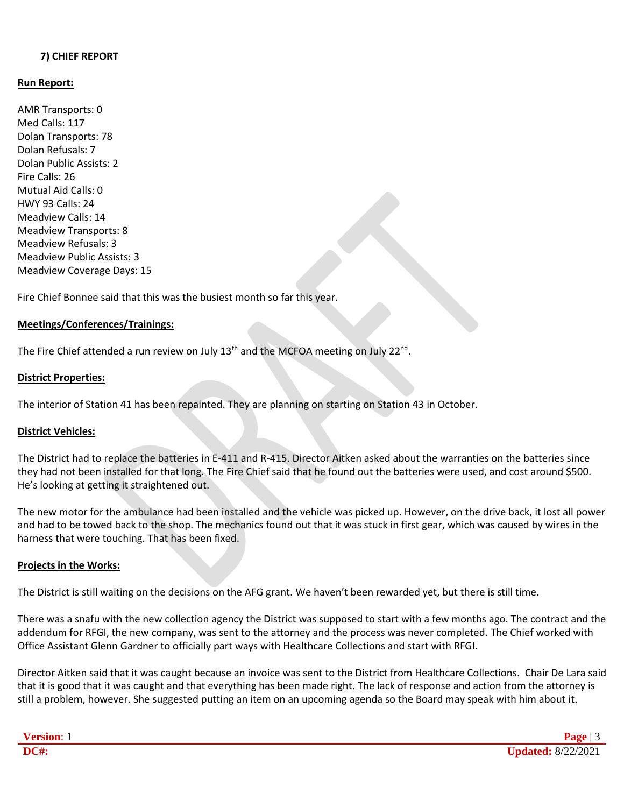### **7) CHIEF REPORT**

### **Run Report:**

AMR Transports: 0 Med Calls: 117 Dolan Transports: 78 Dolan Refusals: 7 Dolan Public Assists: 2 Fire Calls: 26 Mutual Aid Calls: 0 HWY 93 Calls: 24 Meadview Calls: 14 Meadview Transports: 8 Meadview Refusals: 3 Meadview Public Assists: 3 Meadview Coverage Days: 15

Fire Chief Bonnee said that this was the busiest month so far this year.

### **Meetings/Conferences/Trainings:**

The Fire Chief attended a run review on July 13<sup>th</sup> and the MCFOA meeting on July 22<sup>nd</sup>.

#### **District Properties:**

The interior of Station 41 has been repainted. They are planning on starting on Station 43 in October.

### **District Vehicles:**

The District had to replace the batteries in E-411 and R-415. Director Aitken asked about the warranties on the batteries since they had not been installed for that long. The Fire Chief said that he found out the batteries were used, and cost around \$500. He's looking at getting it straightened out.

The new motor for the ambulance had been installed and the vehicle was picked up. However, on the drive back, it lost all power and had to be towed back to the shop. The mechanics found out that it was stuck in first gear, which was caused by wires in the harness that were touching. That has been fixed.

### **Projects in the Works:**

The District is still waiting on the decisions on the AFG grant. We haven't been rewarded yet, but there is still time.

There was a snafu with the new collection agency the District was supposed to start with a few months ago. The contract and the addendum for RFGI, the new company, was sent to the attorney and the process was never completed. The Chief worked with Office Assistant Glenn Gardner to officially part ways with Healthcare Collections and start with RFGI.

Director Aitken said that it was caught because an invoice was sent to the District from Healthcare Collections. Chair De Lara said that it is good that it was caught and that everything has been made right. The lack of response and action from the attorney is still a problem, however. She suggested putting an item on an upcoming agenda so the Board may speak with him about it.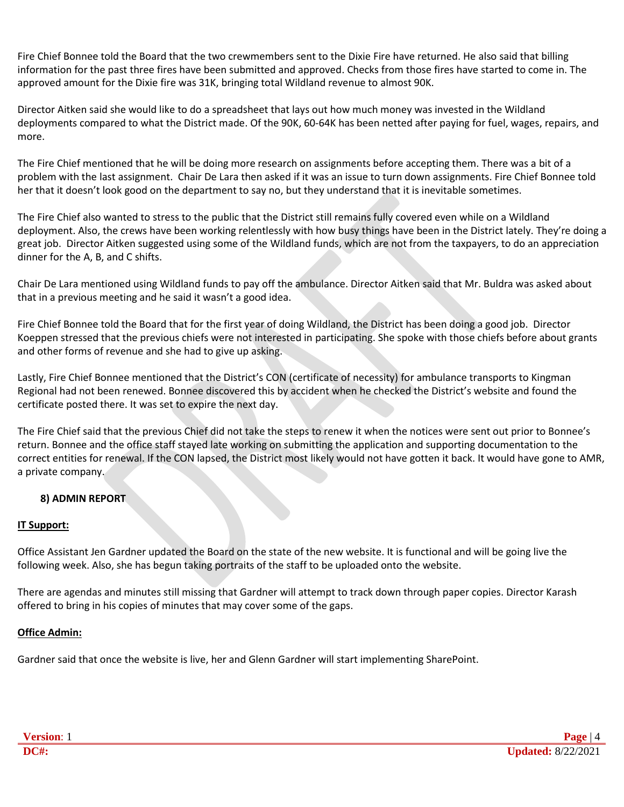Fire Chief Bonnee told the Board that the two crewmembers sent to the Dixie Fire have returned. He also said that billing information for the past three fires have been submitted and approved. Checks from those fires have started to come in. The approved amount for the Dixie fire was 31K, bringing total Wildland revenue to almost 90K.

Director Aitken said she would like to do a spreadsheet that lays out how much money was invested in the Wildland deployments compared to what the District made. Of the 90K, 60-64K has been netted after paying for fuel, wages, repairs, and more.

The Fire Chief mentioned that he will be doing more research on assignments before accepting them. There was a bit of a problem with the last assignment. Chair De Lara then asked if it was an issue to turn down assignments. Fire Chief Bonnee told her that it doesn't look good on the department to say no, but they understand that it is inevitable sometimes.

The Fire Chief also wanted to stress to the public that the District still remains fully covered even while on a Wildland deployment. Also, the crews have been working relentlessly with how busy things have been in the District lately. They're doing a great job. Director Aitken suggested using some of the Wildland funds, which are not from the taxpayers, to do an appreciation dinner for the A, B, and C shifts.

Chair De Lara mentioned using Wildland funds to pay off the ambulance. Director Aitken said that Mr. Buldra was asked about that in a previous meeting and he said it wasn't a good idea.

Fire Chief Bonnee told the Board that for the first year of doing Wildland, the District has been doing a good job. Director Koeppen stressed that the previous chiefs were not interested in participating. She spoke with those chiefs before about grants and other forms of revenue and she had to give up asking.

Lastly, Fire Chief Bonnee mentioned that the District's CON (certificate of necessity) for ambulance transports to Kingman Regional had not been renewed. Bonnee discovered this by accident when he checked the District's website and found the certificate posted there. It was set to expire the next day.

The Fire Chief said that the previous Chief did not take the steps to renew it when the notices were sent out prior to Bonnee's return. Bonnee and the office staff stayed late working on submitting the application and supporting documentation to the correct entities for renewal. If the CON lapsed, the District most likely would not have gotten it back. It would have gone to AMR, a private company.

# **8) ADMIN REPORT**

# **IT Support:**

Office Assistant Jen Gardner updated the Board on the state of the new website. It is functional and will be going live the following week. Also, she has begun taking portraits of the staff to be uploaded onto the website.

There are agendas and minutes still missing that Gardner will attempt to track down through paper copies. Director Karash offered to bring in his copies of minutes that may cover some of the gaps.

# **Office Admin:**

Gardner said that once the website is live, her and Glenn Gardner will start implementing SharePoint.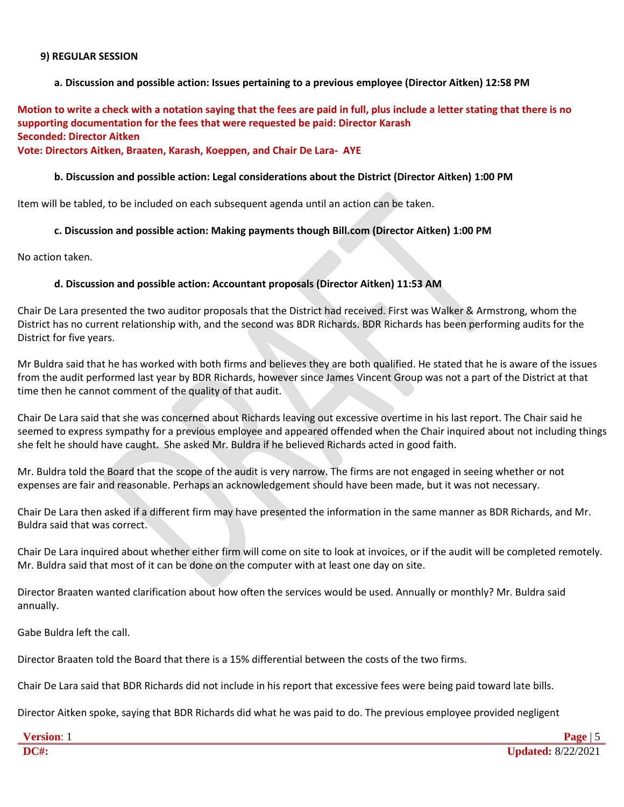#### **9) REGULAR SESSION**

### **a. Discussion and possible action: Issues pertaining to a previous employee (Director Aitken) 12:58 PM**

**Motion to write a check with a notation saying that the fees are paid in full, plus include a letter stating that there is no supporting documentation for the fees that were requested be paid: Director Karash Seconded: Director Aitken**

# **Vote: Directors Aitken, Braaten, Karash, Koeppen, and Chair De Lara- AYE**

#### **b. Discussion and possible action: Legal considerations about the District (Director Aitken) 1:00 PM**

Item will be tabled, to be included on each subsequent agenda until an action can be taken.

### **c. Discussion and possible action: Making payments though Bill.com (Director Aitken) 1:00 PM**

No action taken.

#### **d. Discussion and possible action: Accountant proposals (Director Aitken) 11:53 AM**

Chair De Lara presented the two auditor proposals that the District had received. First was Walker & Armstrong, whom the District has no current relationship with, and the second was BDR Richards. BDR Richards has been performing audits for the District for five years.

Mr Buldra said that he has worked with both firms and believes they are both qualified. He stated that he is aware of the issues from the audit performed last year by BDR Richards, however since James Vincent Group was not a part of the District at that time then he cannot comment of the quality of that audit.

Chair De Lara said that she was concerned about Richards leaving out excessive overtime in his last report. The Chair said he seemed to express sympathy for a previous employee and appeared offended when the Chair inquired about not including things she felt he should have caught. She asked Mr. Buldra if he believed Richards acted in good faith.

Mr. Buldra told the Board that the scope of the audit is very narrow. The firms are not engaged in seeing whether or not expenses are fair and reasonable. Perhaps an acknowledgement should have been made, but it was not necessary.

Chair De Lara then asked if a different firm may have presented the information in the same manner as BDR Richards, and Mr. Buldra said that was correct.

Chair De Lara inquired about whether either firm will come on site to look at invoices, or if the audit will be completed remotely. Mr. Buldra said that most of it can be done on the computer with at least one day on site.

Director Braaten wanted clarification about how often the services would be used. Annually or monthly? Mr. Buldra said annually.

Gabe Buldra left the call.

Director Braaten told the Board that there is a 15% differential between the costs of the two firms.

Chair De Lara said that BDR Richards did not include in his report that excessive fees were being paid toward late bills.

Director Aitken spoke, saying that BDR Richards did what he was paid to do. The previous employee provided negligent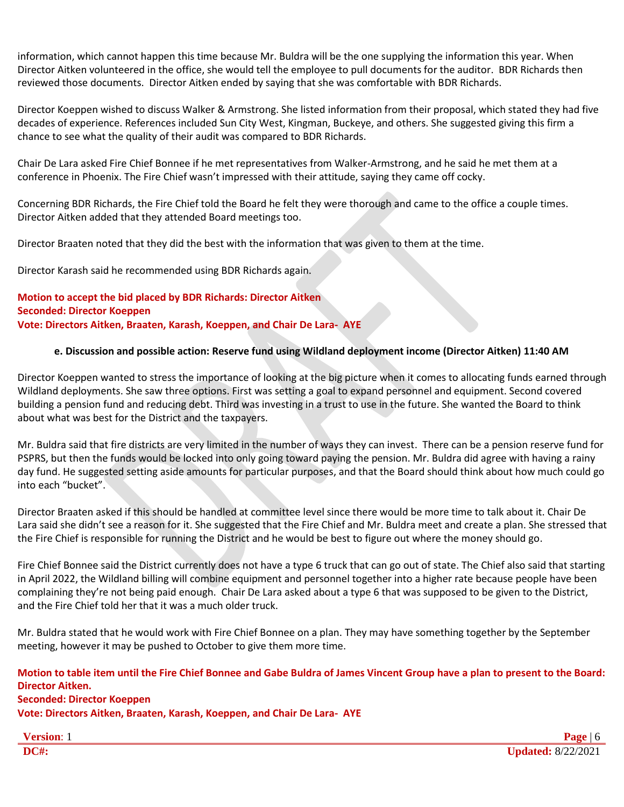information, which cannot happen this time because Mr. Buldra will be the one supplying the information this year. When Director Aitken volunteered in the office, she would tell the employee to pull documents for the auditor. BDR Richards then reviewed those documents. Director Aitken ended by saying that she was comfortable with BDR Richards.

Director Koeppen wished to discuss Walker & Armstrong. She listed information from their proposal, which stated they had five decades of experience. References included Sun City West, Kingman, Buckeye, and others. She suggested giving this firm a chance to see what the quality of their audit was compared to BDR Richards.

Chair De Lara asked Fire Chief Bonnee if he met representatives from Walker-Armstrong, and he said he met them at a conference in Phoenix. The Fire Chief wasn't impressed with their attitude, saying they came off cocky.

Concerning BDR Richards, the Fire Chief told the Board he felt they were thorough and came to the office a couple times. Director Aitken added that they attended Board meetings too.

Director Braaten noted that they did the best with the information that was given to them at the time.

Director Karash said he recommended using BDR Richards again.

**Motion to accept the bid placed by BDR Richards: Director Aitken Seconded: Director Koeppen Vote: Directors Aitken, Braaten, Karash, Koeppen, and Chair De Lara- AYE**

# **e. Discussion and possible action: Reserve fund using Wildland deployment income (Director Aitken) 11:40 AM**

Director Koeppen wanted to stress the importance of looking at the big picture when it comes to allocating funds earned through Wildland deployments. She saw three options. First was setting a goal to expand personnel and equipment. Second covered building a pension fund and reducing debt. Third was investing in a trust to use in the future. She wanted the Board to think about what was best for the District and the taxpayers.

Mr. Buldra said that fire districts are very limited in the number of ways they can invest. There can be a pension reserve fund for PSPRS, but then the funds would be locked into only going toward paying the pension. Mr. Buldra did agree with having a rainy day fund. He suggested setting aside amounts for particular purposes, and that the Board should think about how much could go into each "bucket".

Director Braaten asked if this should be handled at committee level since there would be more time to talk about it. Chair De Lara said she didn't see a reason for it. She suggested that the Fire Chief and Mr. Buldra meet and create a plan. She stressed that the Fire Chief is responsible for running the District and he would be best to figure out where the money should go.

Fire Chief Bonnee said the District currently does not have a type 6 truck that can go out of state. The Chief also said that starting in April 2022, the Wildland billing will combine equipment and personnel together into a higher rate because people have been complaining they're not being paid enough. Chair De Lara asked about a type 6 that was supposed to be given to the District, and the Fire Chief told her that it was a much older truck.

Mr. Buldra stated that he would work with Fire Chief Bonnee on a plan. They may have something together by the September meeting, however it may be pushed to October to give them more time.

# **Motion to table item until the Fire Chief Bonnee and Gabe Buldra of James Vincent Group have a plan to present to the Board: Director Aitken. Seconded: Director Koeppen Vote: Directors Aitken, Braaten, Karash, Koeppen, and Chair De Lara- AYE**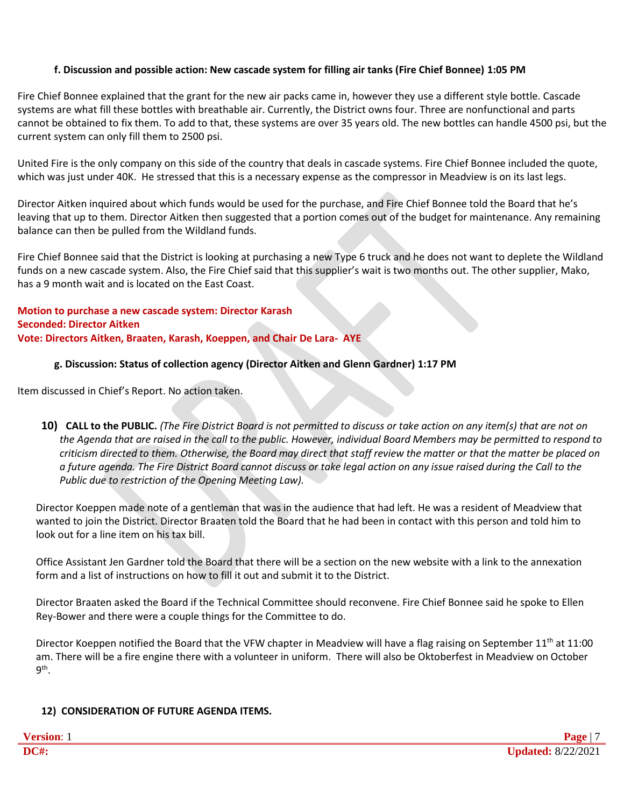# **f. Discussion and possible action: New cascade system for filling air tanks (Fire Chief Bonnee) 1:05 PM**

Fire Chief Bonnee explained that the grant for the new air packs came in, however they use a different style bottle. Cascade systems are what fill these bottles with breathable air. Currently, the District owns four. Three are nonfunctional and parts cannot be obtained to fix them. To add to that, these systems are over 35 years old. The new bottles can handle 4500 psi, but the current system can only fill them to 2500 psi.

United Fire is the only company on this side of the country that deals in cascade systems. Fire Chief Bonnee included the quote, which was just under 40K. He stressed that this is a necessary expense as the compressor in Meadview is on its last legs.

Director Aitken inquired about which funds would be used for the purchase, and Fire Chief Bonnee told the Board that he's leaving that up to them. Director Aitken then suggested that a portion comes out of the budget for maintenance. Any remaining balance can then be pulled from the Wildland funds.

Fire Chief Bonnee said that the District is looking at purchasing a new Type 6 truck and he does not want to deplete the Wildland funds on a new cascade system. Also, the Fire Chief said that this supplier's wait is two months out. The other supplier, Mako, has a 9 month wait and is located on the East Coast.

**Motion to purchase a new cascade system: Director Karash Seconded: Director Aitken Vote: Directors Aitken, Braaten, Karash, Koeppen, and Chair De Lara- AYE**

# **g. Discussion: Status of collection agency (Director Aitken and Glenn Gardner) 1:17 PM**

Item discussed in Chief's Report. No action taken.

10) CALL to the PUBLIC. (The Fire District Board is not permitted to discuss or take action on any item(s) that are not on *the Agenda that are raised in the call to the public. However, individual Board Members may be permitted to respond to criticism directed to them. Otherwise, the Board may direct that staff review the matter or that the matter be placed on a future agenda. The Fire District Board cannot discuss or take legal action on any issue raised during the Call to the Public due to restriction of the Opening Meeting Law).*

Director Koeppen made note of a gentleman that was in the audience that had left. He was a resident of Meadview that wanted to join the District. Director Braaten told the Board that he had been in contact with this person and told him to look out for a line item on his tax bill.

Office Assistant Jen Gardner told the Board that there will be a section on the new website with a link to the annexation form and a list of instructions on how to fill it out and submit it to the District.

Director Braaten asked the Board if the Technical Committee should reconvene. Fire Chief Bonnee said he spoke to Ellen Rey-Bower and there were a couple things for the Committee to do.

Director Koeppen notified the Board that the VFW chapter in Meadview will have a flag raising on September 11<sup>th</sup> at 11:00 am. There will be a fire engine there with a volunteer in uniform. There will also be Oktoberfest in Meadview on October 9<sup>th</sup>.

# **12) CONSIDERATION OF FUTURE AGENDA ITEMS.**